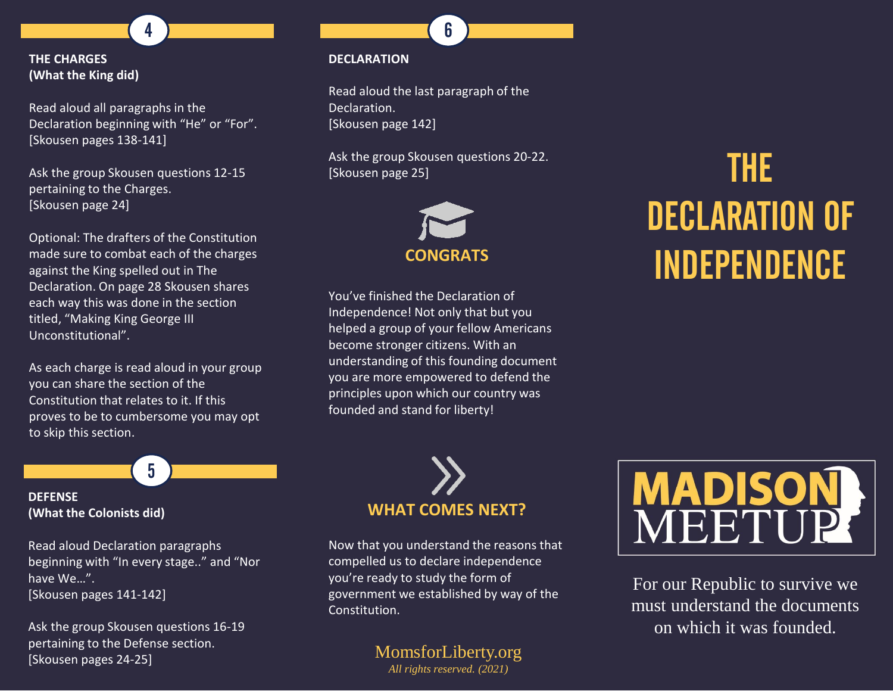## **THE CHARGES (What the King did)**

Read aloud all paragraphs in the Declaration beginning with "He" or "For". [Skousen pages 138-141]

4

Ask the group Skousen questions 12-15 pertaining to the Charges. [Skousen page 24]

Optional: The drafters of the Constitution made sure to combat each of the charges against the King spelled out in The Declaration. On page 28 Skousen shares each way this was done in the section titled, "Making King George III Unconstitutional".

As each charge is read aloud in your group you can share the section of the Constitution that relates to it. If this proves to be to cumbersome you may opt to skip this section.

5

## **DEFENSE (What the Colonists did)**

Read aloud Declaration paragraphs beginning with "In every stage.." and "Nor have We…". [Skousen pages 141-142]

Ask the group Skousen questions 16-19 pertaining to the Defense section. [Skousen pages 24-25]

## **DECLARATION**

Read aloud the last paragraph of the Declaration. [Skousen page 142]

6

Ask the group Skousen questions 20-22. [Skousen page 25]



You've finished the Declaration of Independence! Not only that but you helped a group of your fellow Americans become stronger citizens. With an understanding of this founding document you are more empowered to defend the principles upon which our country was founded and stand for liberty!

# THE DECLARATION OF INDEPENDENCE



Now that you understand the reasons that compelled us to declare independence you're ready to study the form of government we established by way of the Constitution.

## MomsforLiberty.org

*All rights reserved. (2021)*



For our Republic to survive we must understand the documents on which it was founded.